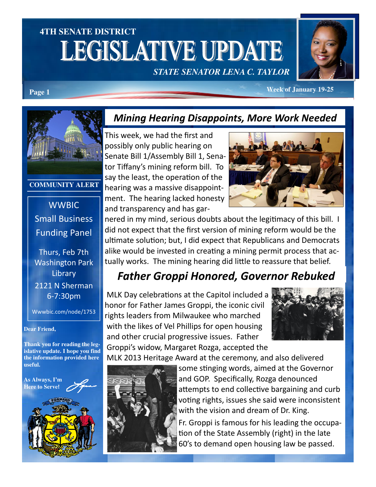# **4TH SENATE DISTRICT LEGISLATIVE UPDATE** *STATE SENATOR LENA C. TAYLOR*



**Page 1** *Week of January 19-25* 



#### **COMMUNITY ALERT**

### **WWBIC** Small Business Funding Panel

Thurs, Feb 7th Washington Park **Library** 2121 N Sherman 6-7:30pm

Wwwbic.com/node/1753

#### **Dear Friend,**

**Thank you for reading the legislative update. I hope you find the information provided here useful.** 



#### Mining Hearing Disappoints, More Work Needed

This week, we had the first and possibly only public hearing on Senate Bill 1/Assembly Bill 1, Senator Tiffany's mining reform bill. To say the least, the operation of the hearing was a massive disappointment. The hearing lacked honesty and transparency and has gar-



nered in my mind, serious doubts about the legitimacy of this bill. I did not expect that the first version of mining reform would be the ultimate solution; but, I did expect that Republicans and Democrats alike would be invested in creating a mining permit process that actually works. The mining hearing did little to reassure that belief.

## Father Groppi Honored, Governor Rebuked

MLK Day celebrations at the Capitol included a honor for Father James Groppi, the iconic civil rights leaders from Milwaukee who marched with the likes of Vel Phillips for open housing and other crucial progressive issues. Father Groppi's widow, Margaret Rozga, accepted the



MLK 2013 Heritage Award at the ceremony, and also delivered



some stinging words, aimed at the Governor and GOP. Specifically, Rozga denounced attempts to end collective bargaining and curb voting rights, issues she said were inconsistent with the vision and dream of Dr. King.

Fr. Groppi is famous for his leading the occupa tion of the State Assembly (right) in the late 60's to demand open housing law be passed.